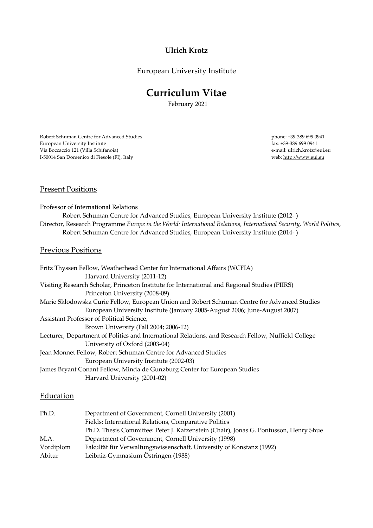# **Ulrich Krotz**

European University Institute

# **Curriculum Vitae**

February 2021

Robert Schuman Centre for Advanced Studies European University Institute Via Boccaccio 121 (Villa Schifanoia) I-50014 San Domenico di Fiesole (FI), Italy

 phone: +39-389 699 0941 fax: +39-389 699 0941 e-mail: ulrich.krotz@eui.eu web: http://www.eui.eu

# Present Positions

Professor of International Relations Robert Schuman Centre for Advanced Studies, European University Institute (2012- ) Director, Research Programme *Europe in the World: International Relations, International Security, World Politics*, Robert Schuman Centre for Advanced Studies, European University Institute (2014- )

#### Previous Positions

| Fritz Thyssen Fellow, Weatherhead Center for International Affairs (WCFIA)                          |
|-----------------------------------------------------------------------------------------------------|
| Harvard University (2011-12)                                                                        |
| Visiting Research Scholar, Princeton Institute for International and Regional Studies (PIIRS)       |
| Princeton University (2008-09)                                                                      |
| Marie Skłodowska Curie Fellow, European Union and Robert Schuman Centre for Advanced Studies        |
| European University Institute (January 2005-August 2006; June-August 2007)                          |
| Assistant Professor of Political Science,                                                           |
| Brown University (Fall 2004; 2006-12)                                                               |
| Lecturer, Department of Politics and International Relations, and Research Fellow, Nuffield College |
| University of Oxford (2003-04)                                                                      |
| Jean Monnet Fellow, Robert Schuman Centre for Advanced Studies                                      |
| European University Institute (2002-03)                                                             |
| James Bryant Conant Fellow, Minda de Gunzburg Center for European Studies                           |
| Harvard University (2001-02)                                                                        |
|                                                                                                     |

# **Education**

| Ph.D.     | Department of Government, Cornell University (2001)                                  |
|-----------|--------------------------------------------------------------------------------------|
|           | Fields: International Relations, Comparative Politics                                |
|           | Ph.D. Thesis Committee: Peter J. Katzenstein (Chair), Jonas G. Pontusson, Henry Shue |
| M.A.      | Department of Government, Cornell University (1998)                                  |
| Vordiplom | Fakultät für Verwaltungswissenschaft, University of Konstanz (1992)                  |
| Abitur    | Leibniz-Gymnasium Östringen (1988)                                                   |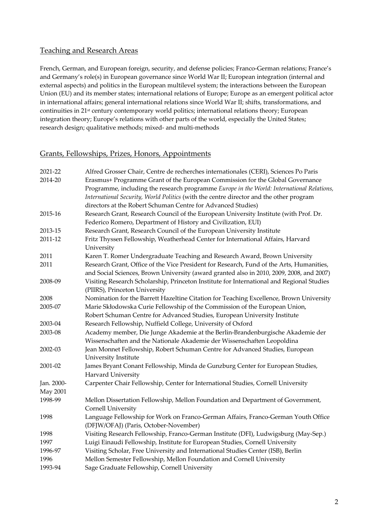# Teaching and Research Areas

French, German, and European foreign, security, and defense policies; Franco-German relations; France's and Germany's role(s) in European governance since World War II; European integration (internal and external aspects) and politics in the European multilevel system; the interactions between the European Union (EU) and its member states; international relations of Europe; Europe as an emergent political actor in international affairs; general international relations since World War II; shifts, transformations, and continuities in 21<sup>st</sup> century contemporary world politics; international relations theory; European integration theory; Europe's relations with other parts of the world, especially the United States; research design; qualitative methods; mixed- and multi-methods

# Grants, Fellowships, Prizes, Honors, Appointments

| 2021-22    | Alfred Grosser Chair, Centre de recherches internationales (CERI), Sciences Po Paris      |
|------------|-------------------------------------------------------------------------------------------|
| 2014-20    | Erasmus+ Programme Grant of the European Commission for the Global Governance             |
|            | Programme, including the research programme Europe in the World: International Relations, |
|            | International Security, World Politics (with the centre director and the other program    |
|            | directors at the Robert Schuman Centre for Advanced Studies)                              |
| 2015-16    | Research Grant, Research Council of the European University Institute (with Prof. Dr.     |
|            | Federico Romero, Department of History and Civilization, EUI)                             |
| 2013-15    | Research Grant, Research Council of the European University Institute                     |
| 2011-12    | Fritz Thyssen Fellowship, Weatherhead Center for International Affairs, Harvard           |
|            | University                                                                                |
| 2011       | Karen T. Romer Undergraduate Teaching and Research Award, Brown University                |
| 2011       | Research Grant, Office of the Vice President for Research, Fund of the Arts, Humanities,  |
|            | and Social Sciences, Brown University (award granted also in 2010, 2009, 2008, and 2007)  |
| 2008-09    | Visiting Research Scholarship, Princeton Institute for International and Regional Studies |
|            | (PIIRS), Princeton University                                                             |
| 2008       | Nomination for the Barrett Hazeltine Citation for Teaching Excellence, Brown University   |
| 2005-07    | Marie Skłodowska Curie Fellowship of the Commission of the European Union,                |
|            | Robert Schuman Centre for Advanced Studies, European University Institute                 |
| 2003-04    | Research Fellowship, Nuffield College, University of Oxford                               |
| 2003-08    | Academy member, Die Junge Akademie at the Berlin-Brandenburgische Akademie der            |
|            | Wissenschaften and the Nationale Akademie der Wissenschaften Leopoldina                   |
| 2002-03    | Jean Monnet Fellowship, Robert Schuman Centre for Advanced Studies, European              |
|            | University Institute                                                                      |
| 2001-02    | James Bryant Conant Fellowship, Minda de Gunzburg Center for European Studies,            |
|            | Harvard University                                                                        |
| Jan. 2000- | Carpenter Chair Fellowship, Center for International Studies, Cornell University          |
| May 2001   |                                                                                           |
| 1998-99    | Mellon Dissertation Fellowship, Mellon Foundation and Department of Government,           |
|            | Cornell University                                                                        |
| 1998       | Language Fellowship for Work on Franco-German Affairs, Franco-German Youth Office         |
|            | (DFJW/OFAJ) (Paris, October-November)                                                     |
| 1998       | Visiting Research Fellowship, Franco-German Institute (DFI), Ludwigsburg (May-Sep.)       |
| 1997       | Luigi Einaudi Fellowship, Institute for European Studies, Cornell University              |
| 1996-97    | Visiting Scholar, Free University and International Studies Center (ISB), Berlin          |
| 1996       | Mellon Semester Fellowship, Mellon Foundation and Cornell University                      |
| 1993-94    | Sage Graduate Fellowship, Cornell University                                              |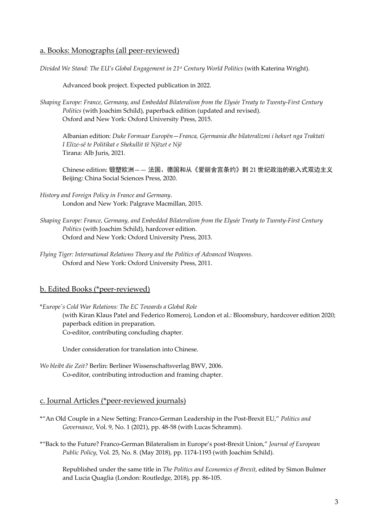#### a. Books: Monographs (all peer-reviewed)

*Divided We Stand: The EU's Global Engagement in 21st Century World Politics* (with Katerina Wright).

Advanced book project. Expected publication in 2022.

*Shaping Europe: France, Germany, and Embedded Bilateralism from the Elysée Treaty to Twenty-First Century Politics* (with Joachim Schild), paperback edition (updated and revised). Oxford and New York: Oxford University Press, 2015.

Albanian edition: *Duke Formuar Europën*—*Franca, Gjermania dhe bilateralizmi i hekurt nga Traktati I Elize-së te Politikat e Shekullit të Njëzet e Një* Tirana: Alb Juris, 2021.

Chinese edition: 锻塑欧洲—— 法国、德国和从《爱丽舍宫条约》到 21 世纪政治的嵌入式双边主义 Beijing: China Social Sciences Press, 2020.

- *History and Foreign Policy in France and Germany*. London and New York: Palgrave Macmillan, 2015.
- *Shaping Europe: France, Germany, and Embedded Bilateralism from the Elysée Treaty to Twenty-First Century Politics* (with Joachim Schild), hardcover edition. Oxford and New York: Oxford University Press, 2013.
- *Flying Tiger: International Relations Theory and the Politics of Advanced Weapons*. Oxford and New York: Oxford University Press, 2011.

#### b. Edited Books (\*peer-reviewed)

\**Europe's Cold War Relations: The EC Towards a Global Role* (with Kiran Klaus Patel and Federico Romero), London et al.: Bloomsbury, hardcover edition 2020; paperback edition in preparation. Co-editor, contributing concluding chapter.

Under consideration for translation into Chinese.

*Wo bleibt die Zeit?* Berlin: Berliner Wissenschaftsverlag BWV, 2006. Co-editor, contributing introduction and framing chapter.

# c. Journal Articles (\*peer-reviewed journals)

- \*"An Old Couple in a New Setting: Franco-German Leadership in the Post-Brexit EU," *Politics and Governance*, Vol. 9, No. 1 (2021), pp. 48-58 (with Lucas Schramm).
- \*"Back to the Future? Franco-German Bilateralism in Europe's post-Brexit Union," *Journal of European Public Policy*, Vol. 25, No. 8. (May 2018), pp. 1174-1193 (with Joachim Schild).

Republished under the same title in *The Politics and Economics of Brexit*, edited by Simon Bulmer and Lucia Quaglia (London: Routledge, 2018), pp. 86-105.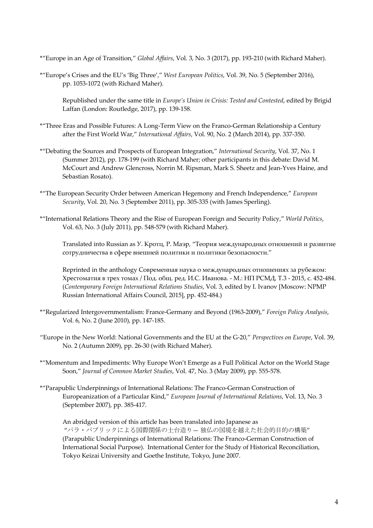\*"Europe in an Age of Transition," *Global Affairs*, Vol. 3, No. 3 (2017), pp. 193-210 (with Richard Maher).

\*"Europe's Crises and the EU's 'Big Three'," *West European Politics*, Vol. 39, No. 5 (September 2016), pp. 1053-1072 (with Richard Maher).

Republished under the same title in *Europe's Union in Crisis: Tested and Contested*, edited by Brigid Laffan (London: Routledge, 2017), pp. 139-158.

- \*"Three Eras and Possible Futures: A Long-Term View on the Franco-German Relationship a Century after the First World War," *International Affairs*, Vol. 90, No. 2 (March 2014), pp. 337-350.
- \*"Debating the Sources and Prospects of European Integration," *International Security*, Vol. 37, No. 1 (Summer 2012), pp. 178-199 (with Richard Maher; other participants in this debate: David M. McCourt and Andrew Glencross, Norrin M. Ripsman, Mark S. Sheetz and Jean-Yves Haine, and Sebastian Rosato).
- \*"The European Security Order between American Hegemony and French Independence," *European Security*, Vol. 20, No. 3 (September 2011), pp. 305-335 (with James Sperling).
- \*"International Relations Theory and the Rise of European Foreign and Security Policy," *World Politics*, Vol. 63, No. 3 (July 2011), pp. 548-579 (with Richard Maher).

Translated into Russian as У. Кротц, Р. Маэр, "Теория международных отношений и развитие сотрудничества в сфере внешней политики и политики безопасности."

Reprinted in the anthology Современная наука о международных отношениях за рубежом: Хрестоматия в трех томах / Под. общ. ред. И.С. Иванова. - М.: НП РСМД, Т.3 - 2015, с. 452-484. (*Contemporary Foreign International Relations Studies*, Vol. 3, edited by I. Ivanov [Moscow: NPMP Russian International Affairs Council, 2015], pp. 452-484.)

- \*"Regularized Intergovernmentalism: France-Germany and Beyond (1963-2009)," *Foreign Policy Analysis*, Vol. 6, No. 2 (June 2010), pp. 147-185.
- "Europe in the New World: National Governments and the EU at the G-20," *Perspectives on Europe*, Vol. 39, No. 2 (Autumn 2009), pp. 26-30 (with Richard Maher).
- \*"Momentum and Impediments: Why Europe Won't Emerge as a Full Political Actor on the World Stage Soon," *Journal of Common Market Studies*, Vol. 47, No. 3 (May 2009), pp. 555-578.
- \*"Parapublic Underpinnings of International Relations: The Franco-German Construction of Europeanization of a Particular Kind," *European Journal of International Relations*, Vol. 13, No. 3 (September 2007), pp. 385-417.

An abridged version of this article has been translated into Japanese as "パラ・パブリックによる国際関係の土台造り— 独仏の国境を越えた社会的目的の構築" (Parapublic Underpinnings of International Relations: The Franco-German Construction of International Social Purpose). International Center for the Study of Historical Reconciliation, Tokyo Keizai University and Goethe Institute, Tokyo, June 2007.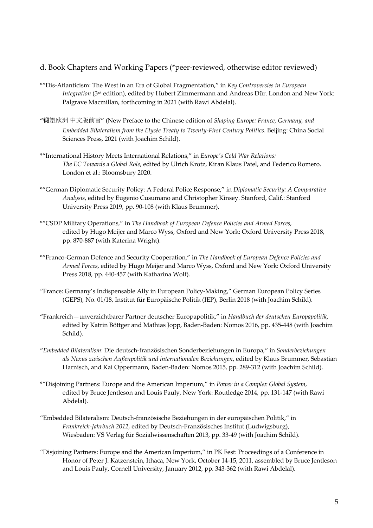# d. Book Chapters and Working Papers (\*peer-reviewed, otherwise editor reviewed)

- \*"Dis-Atlanticism: The West in an Era of Global Fragmentation," in *Key Controversies in European Integration* (3rd edition), edited by Hubert Zimmermann and Andreas Dür. London and New York: Palgrave Macmillan, forthcoming in 2021 (with Rawi Abdelal).
- "锻塑欧洲 中文版前言" (New Preface to the Chinese edition of *Shaping Europe: France, Germany, and Embedded Bilateralism from the Elysée Treaty to Twenty-First Century Politics*. Beijing: China Social Sciences Press, 2021 (with Joachim Schild).
- \*"International History Meets International Relations," in *Europe's Cold War Relations: The EC Towards a Global Role*, edited by Ulrich Krotz, Kiran Klaus Patel, and Federico Romero. London et al.: Bloomsbury 2020.
- \*"German Diplomatic Security Policy: A Federal Police Response," in *Diplomatic Security: A Comparative Analysis*, edited by Eugenio Cusumano and Christopher Kinsey. Stanford, Calif.: Stanford University Press 2019, pp. 90-108 (with Klaus Brummer).
- \*"CSDP Military Operations," in *The Handbook of European Defence Policies and Armed Forces*, edited by Hugo Meijer and Marco Wyss, Oxford and New York: Oxford University Press 2018, pp. 870-887 (with Katerina Wright).
- \*"Franco-German Defence and Security Cooperation," in *The Handbook of European Defence Policies and Armed Forces*, edited by Hugo Meijer and Marco Wyss, Oxford and New York: Oxford University Press 2018, pp. 440-457 (with Katharina Wolf).
- "France: Germany's Indispensable Ally in European Policy-Making," German European Policy Series (GEPS), No. 01/18, Institut für Europäische Politik (IEP), Berlin 2018 (with Joachim Schild).
- "Frankreich—unverzichtbarer Partner deutscher Europapolitik," in *Handbuch der deutschen Europapolitik*, edited by Katrin Böttger and Mathias Jopp, Baden-Baden: Nomos 2016, pp. 435-448 (with Joachim Schild).
- "*Embedded Bilateralism*: Die deutsch-französischen Sonderbeziehungen in Europa," in *Sonderbeziehungen als Nexus zwischen Außenpolitik und internationalen Beziehungen*, edited by Klaus Brummer, Sebastian Harnisch, and Kai Oppermann, Baden-Baden: Nomos 2015, pp. 289-312 (with Joachim Schild).
- \*"Disjoining Partners: Europe and the American Imperium," in *Power in a Complex Global System*, edited by Bruce Jentleson and Louis Pauly, New York: Routledge 2014, pp. 131-147 (with Rawi Abdelal).
- "Embedded Bilateralism: Deutsch-französische Beziehungen in der europäischen Politik," in *Frankreich-Jahrbuch 2012*, edited by Deutsch-Französisches Institut (Ludwigsburg), Wiesbaden: VS Verlag für Sozialwissenschaften 2013, pp. 33-49 (with Joachim Schild).
- "Disjoining Partners: Europe and the American Imperium," in PK Fest: Proceedings of a Conference in Honor of Peter J. Katzenstein, Ithaca, New York, October 14-15, 2011, assembled by Bruce Jentleson and Louis Pauly, Cornell University, January 2012, pp. 343-362 (with Rawi Abdelal).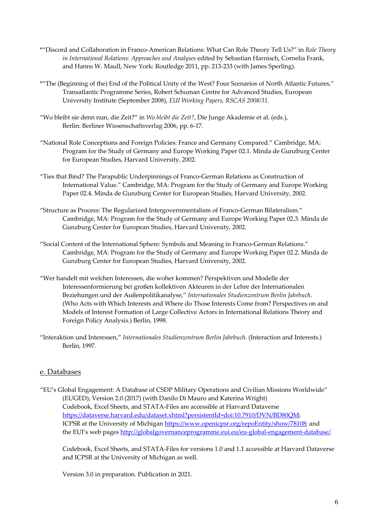- \*"Discord and Collaboration in Franco-American Relations: What Can Role Theory Tell Us?" in *Role Theory in International Relations: Approaches and Analyses* edited by Sebastian Harnisch, Cornelia Frank, and Hanns W. Maull, New York: Routledge 2011, pp. 213-233 (with James Sperling).
- \*"The (Beginning of the) End of the Political Unity of the West? Four Scenarios of North Atlantic Futures," Transatlantic Programme Series, Robert Schuman Centre for Advanced Studies, European University Institute (September 2008), *EUI Working Papers, RSCAS 2008/31*.
- "Wo bleibt sie denn nun, die Zeit?" in *Wo bleibt die Zeit?*, Die Junge Akademie et al. (eds.), Berlin: Berliner Wissenschaftsverlag 2006, pp. 6-17.
- "National Role Conceptions and Foreign Policies: France and Germany Compared." Cambridge, MA: Program for the Study of Germany and Europe Working Paper 02.1. Minda de Gunzburg Center for European Studies, Harvard University, 2002.
- "Ties that Bind? The Parapublic Underpinnings of Franco-German Relations as Construction of International Value." Cambridge, MA: Program for the Study of Germany and Europe Working Paper 02.4. Minda de Gunzburg Center for European Studies, Harvard University, 2002.
- "Structure as Process: The Regularized Intergovernmentalism of Franco-German Bilateralism." Cambridge, MA: Program for the Study of Germany and Europe Working Paper 02.3. Minda de Gunzburg Center for European Studies, Harvard University, 2002.
- "Social Content of the International Sphere: Symbols and Meaning in Franco-German Relations." Cambridge, MA: Program for the Study of Germany and Europe Working Paper 02.2. Minda de Gunzburg Center for European Studies, Harvard University, 2002.
- "Wer handelt mit welchen Interessen, die woher kommen? Perspektiven und Modelle der Interessenformierung bei großen kollektiven Akteuren in der Lehre der Internationalen Beziehungen und der Außenpolitikanalyse," *Internationales Studienzentrum Berlin Jahrbuch*. (Who Acts with Which Interests and Where do Those Interests Come from? Perspectives on and Models of Interest Formation of Large Collective Actors in International Relations Theory and Foreign Policy Analysis.) Berlin, 1998.
- "Interaktion und Interessen," *Internationales Studienzentrum Berlin Jahrbuch*. (Interaction and Interests.) Berlin, 1997.

# e. Databases

"EU's Global Engagement: A Database of CSDP Military Operations and Civilian Missions Worldwide" (EUGED), Version 2.0 (2017) (with Danilo Di Mauro and Katerina Wright) Codebook, Excel Sheets, and STATA-Files are accessible at Harvard Dataverse https://dataverse.harvard.edu/dataset.xhtml?persistentId=doi:10.7910/DVN/BD80QM; ICPSR at the University of Michigan https://www.openicpsr.org/repoEntity/show/78108; and the EUI's web pages http://globalgovernanceprogramme.eui.eu/eu-global-engagement-database/.

Codebook, Excel Sheets, and STATA-Files for versions 1.0 and 1.1 accessible at Harvard Dataverse and ICPSR at the University of Michigan as well.

Version 3.0 in preparation. Publication in 2021.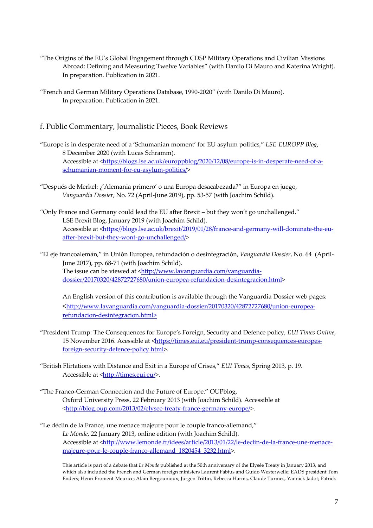- "The Origins of the EU's Global Engagement through CDSP Military Operations and Civilian Missions Abroad: Defining and Measuring Twelve Variables" (with Danilo Di Mauro and Katerina Wright). In preparation. Publication in 2021.
- "French and German Military Operations Database, 1990-2020" (with Danilo Di Mauro). In preparation. Publication in 2021.

# f. Public Commentary, Journalistic Pieces, Book Reviews

- "Europe is in desperate need of a 'Schumanian moment' for EU asylum politics," *LSE-EUROPP Blog*, 8 December 2020 (with Lucas Schramm). Accessible at <https://blogs.lse.ac.uk/europpblog/2020/12/08/europe-is-in-desperate-need-of-aschumanian-moment-for-eu-asylum-politics/>
- "Después de Merkel: ¿'Alemania primero' o una Europa desacabezada?" in Europa en juego, *Vanguardia Dossier*, No. 72 (April-June 2019), pp. 53-57 (with Joachim Schild).
- "Only France and Germany could lead the EU after Brexit but they won't go unchallenged." LSE Brexit Blog, January 2019 (with Joachim Schild). Accessible at <https://blogs.lse.ac.uk/brexit/2019/01/28/france-and-germany-will-dominate-the-euafter-brexit-but-they-wont-go-unchallenged/>
- "El eje francoalemán," in Unión Europea, refundación o desintegración, *Vanguardia Dossier*, No. 64 (April-June 2017), pp. 68-71 (with Joachim Schild). The issue can be viewed at <http://www.lavanguardia.com/vanguardiadossier/20170320/42872727680/union-europea-refundacion-desintegracion.html>

An English version of this contribution is available through the Vanguardia Dossier web pages: <http://www.lavanguardia.com/vanguardia-dossier/20170320/42872727680/union-europearefundacion-desintegracion.html>

- "President Trump: The Consequences for Europe's Foreign, Security and Defence policy, *EUI Times Online*, 15 November 2016. Acessible at <https://times.eui.eu/president-trump-consequences-europesforeign-security-defence-policy.html>.
- "British Flirtations with Distance and Exit in a Europe of Crises," *EUI Times*, Spring 2013, p. 19. Accessible at <http://times.eui.eu/>.
- "The Franco-German Connection and the Future of Europe." OUPblog, Oxford University Press, 22 February 2013 (with Joachim Schild). Accessible at <http://blog.oup.com/2013/02/elysee-treaty-france-germany-europe/>.
- "Le déclin de la France, une menace majeure pour le couple franco-allemand," *Le Monde*, 22 January 2013, online edition (with Joachim Schild). Accessible at <http://www.lemonde.fr/idees/article/2013/01/22/le-declin-de-la-france-une-menacemajeure-pour-le-couple-franco-allemand\_1820454\_3232.html>.

This article is part of a debate that *Le Monde* published at the 50th anniversary of the Elysée Treaty in January 2013, and which also included the French and German foreign ministers Laurent Fabius and Guido Westerwelle; EADS president Tom Enders; Henri Froment-Meurice; Alain Bergounioux; Jürgen Trittin, Rebecca Harms, Claude Turmes, Yannick Jadot; Patrick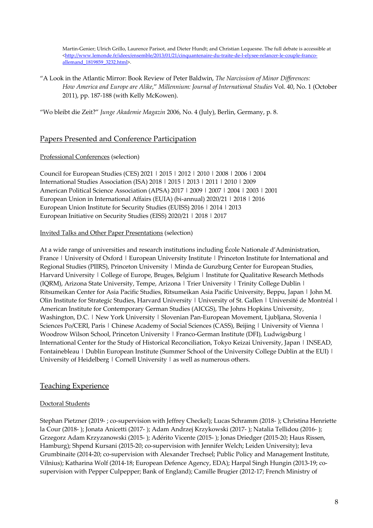Martin-Genier; Ulrich Grillo, Laurence Parisot, and Dieter Hundt; and Christian Lequesne. The full debate is accessible at <http://www.lemonde.fr/idees/ensemble/2013/01/21/cinquantenaire-du-traite-de-l-elysee-relancer-le-couple-francoallemand\_1819859\_3232.html>.

"A Look in the Atlantic Mirror: Book Review of Peter Baldwin, *The Narcissism of Minor Differences: How America and Europe are Alike*," *Millennium: Journal of International Studies* Vol. 40, No. 1 (October 2011), pp. 187-188 (with Kelly McKowen).

"Wo bleibt die Zeit?" *Junge Akademie Magazin* 2006, No. 4 (July), Berlin, Germany, p. 8.

# Papers Presented and Conference Participation

#### Professional Conferences (selection)

Council for European Studies (CES) 2021 | 2015 | 2012 | 2010 | 2008 | 2006 | 2004 International Studies Association (ISA) 2018 | 2015 | 2013 | 2011 | 2010 | 2009 American Political Science Association (APSA) 2017 | 2009 | 2007 | 2004 | 2003 | 2001 European Union in International Affairs (EUIA) (bi-annual) 2020/21 | 2018 | 2016 European Union Institute for Security Studies (EUISS) 2016 | 2014 | 2013 European Initiative on Security Studies (EISS) 2020/21 | 2018 | 2017

#### Invited Talks and Other Paper Presentations (selection)

At a wide range of universities and research institutions including École Nationale d'Administration, France | University of Oxford | European University Institute | Princeton Institute for International and Regional Studies (PIIRS), Princeton University | Minda de Gunzburg Center for European Studies, Harvard University | College of Europe, Bruges, Belgium | Institute for Qualitative Research Methods (IQRM), Arizona State University, Tempe, Arizona | Trier University | Trinity College Dublin | Ritsumeikan Center for Asia Pacific Studies, Ritsumeikan Asia Pacific University, Beppu, Japan | John M. Olin Institute for Strategic Studies, Harvard University | University of St. Gallen | Université de Montréal | American Institute for Contemporary German Studies (AICGS), The Johns Hopkins University, Washington, D.C. | New York University | Slovenian Pan-European Movement, Ljubljana, Slovenia | Sciences Po/CERI, Paris | Chinese Academy of Social Sciences (CASS), Beijing | University of Vienna | Woodrow Wilson School, Princeton University | Franco-German Institute (DFI), Ludwigsburg | International Center for the Study of Historical Reconciliation, Tokyo Keizai University, Japan | INSEAD, Fontainebleau | Dublin European Institute (Summer School of the University College Dublin at the EUI) | University of Heidelberg | Cornell University | as well as numerous others.

# Teaching Experience

#### Doctoral Students

Stephan Pietzner (2019- ; co-supervision with Jeffrey Checkel); Lucas Schramm (2018- ); Christina Henriette la Cour (2018- ); Jonata Anicetti (2017- ); Adam Andrzej Krzykowski (2017- ); Natalia Tellidou (2016- ); Grzegorz Adam Krzyzanowski (2015- ); Adérito Vicente (2015- ); Jonas Driedger (2015-20; Haus Rissen, Hamburg); Shpend Kursani (2015-20; co-supervision with Jennifer Welch; Leiden University); Ieva Grumbinaite (2014-20; co-supervision with Alexander Trechsel; Public Policy and Management Institute, Vilnius); Katharina Wolf (2014-18; European Defence Agency, EDA); Harpal Singh Hungin (2013-19; cosupervision with Pepper Culpepper; Bank of England); Camille Brugier (2012-17; French Ministry of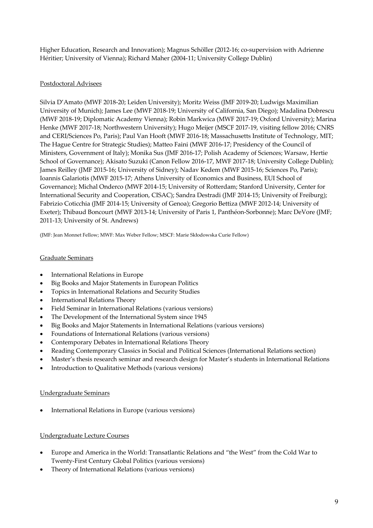Higher Education, Research and Innovation); Magnus Schöller (2012-16; co-supervision with Adrienne Héritier; University of Vienna); Richard Maher (2004-11; University College Dublin)

# Postdoctoral Advisees

Silvia D'Amato (MWF 2018-20; Leiden University); Moritz Weiss (JMF 2019-20; Ludwigs Maximilian University of Munich); James Lee (MWF 2018-19; University of California, San Diego); Madalina Dobrescu (MWF 2018-19; Diplomatic Academy Vienna); Robin Markwica (MWF 2017-19; Oxford University); Marina Henke (MWF 2017-18; Northwestern University); Hugo Meijer (MSCF 2017-19, visiting fellow 2016; CNRS and CERI/Sciences Po, Paris); Paul Van Hooft (MWF 2016-18; Massachusetts Institute of Technology, MIT; The Hague Centre for Strategic Studies); Matteo Faini (MWF 2016-17; Presidency of the Council of Ministers, Government of Italy); Monika Sus (JMF 2016-17; Polish Academy of Sciences; Warsaw, Hertie School of Governance); Akisato Suzuki (Canon Fellow 2016-17, MWF 2017-18; University College Dublin); James Reilley (JMF 2015-16; University of Sidney); Nadav Kedem (MWF 2015-16; Sciences Po, Paris); Ioannis Galariotis (MWF 2015-17; Athens University of Economics and Business, EUI School of Governance); Michal Onderco (MWF 2014-15; University of Rotterdam; Stanford University, Center for International Security and Cooperation, CISAC); Sandra Destradi (JMF 2014-15; University of Freiburg); Fabrizio Coticchia (JMF 2014-15; University of Genoa); Gregorio Bettiza (MWF 2012-14; University of Exeter); Thibaud Boncourt (MWF 2013-14; University of Paris 1, Panthéon-Sorbonne); Marc DeVore (JMF; 2011-13; University of St. Andrews)

(JMF: Jean Monnet Fellow; MWF: Max Weber Fellow; MSCF: Marie Skłodowska Curie Fellow)

#### Graduate Seminars

- International Relations in Europe
- Big Books and Major Statements in European Politics
- Topics in International Relations and Security Studies
- International Relations Theory
- Field Seminar in International Relations (various versions)
- The Development of the International System since 1945
- Big Books and Major Statements in International Relations (various versions)
- Foundations of International Relations (various versions)
- Contemporary Debates in International Relations Theory
- Reading Contemporary Classics in Social and Political Sciences (International Relations section)
- Master's thesis research seminar and research design for Master's students in International Relations
- Introduction to Qualitative Methods (various versions)

#### Undergraduate Seminars

International Relations in Europe (various versions)

#### Undergraduate Lecture Courses

- Europe and America in the World: Transatlantic Relations and "the West" from the Cold War to Twenty-First Century Global Politics (various versions)
- Theory of International Relations (various versions)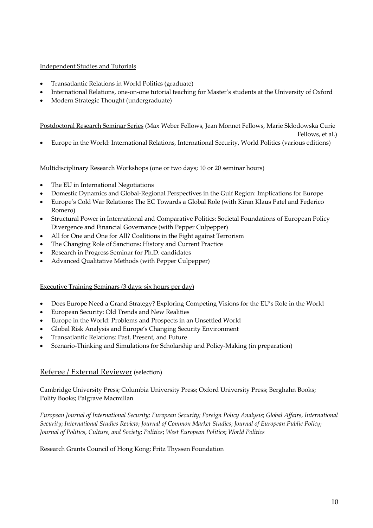#### Independent Studies and Tutorials

- Transatlantic Relations in World Politics (graduate)
- International Relations, one-on-one tutorial teaching for Master's students at the University of Oxford
- Modern Strategic Thought (undergraduate)

Postdoctoral Research Seminar Series (Max Weber Fellows, Jean Monnet Fellows, Marie Skłodowska Curie

Fellows, et al.)

• Europe in the World: International Relations, International Security, World Politics (various editions)

#### Multidisciplinary Research Workshops (one or two days; 10 or 20 seminar hours)

- The EU in International Negotiations
- Domestic Dynamics and Global-Regional Perspectives in the Gulf Region: Implications for Europe
- Europe's Cold War Relations: The EC Towards a Global Role (with Kiran Klaus Patel and Federico Romero)
- Structural Power in International and Comparative Politics: Societal Foundations of European Policy Divergence and Financial Governance (with Pepper Culpepper)
- All for One and One for All? Coalitions in the Fight against Terrorism
- The Changing Role of Sanctions: History and Current Practice
- Research in Progress Seminar for Ph.D. candidates
- Advanced Qualitative Methods (with Pepper Culpepper)

#### Executive Training Seminars (3 days; six hours per day)

- Does Europe Need a Grand Strategy? Exploring Competing Visions for the EU's Role in the World
- European Security: Old Trends and New Realities
- Europe in the World: Problems and Prospects in an Unsettled World
- Global Risk Analysis and Europe's Changing Security Environment
- Transatlantic Relations: Past, Present, and Future
- Scenario-Thinking and Simulations for Scholarship and Policy-Making (in preparation)

# Referee / External Reviewer (selection)

Cambridge University Press; Columbia University Press; Oxford University Press; Berghahn Books; Polity Books; Palgrave Macmillan

*European Journal of International Security; European Security; Foreign Policy Analysis*; *Global Affairs*, *International Security*; *International Studies Review*; *Journal of Common Market Studies*; *Journal of European Public Policy*; *Journal of Politics, Culture, and Society*; *Politics*; *West European Politics*; *World Politics*

Research Grants Council of Hong Kong; Fritz Thyssen Foundation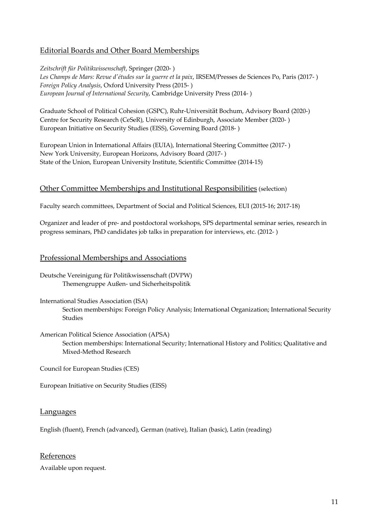# Editorial Boards and Other Board Memberships

*Zeitschrift für Politikwissenschaft*, Springer (2020- ) *Les Champs de Mars: Revue d'études sur la guerre et la paix*, IRSEM/Presses de Sciences Po, Paris (2017- ) *Foreign Policy Analysis*, Oxford University Press (2015- ) *European Journal of International Security*, Cambridge University Press (2014- )

Graduate School of Political Cohesion (GSPC), Ruhr-Universität Bochum, Advisory Board (2020-) Centre for Security Research (CeSeR), University of Edinburgh, Associate Member (2020- ) European Initiative on Security Studies (EISS), Governing Board (2018- )

European Union in International Affairs (EUIA), International Steering Committee (2017- ) New York University, European Horizons, Advisory Board (2017- ) State of the Union, European University Institute, Scientific Committee (2014-15)

# Other Committee Memberships and Institutional Responsibilities (selection)

Faculty search committees, Department of Social and Political Sciences, EUI (2015-16; 2017-18)

Organizer and leader of pre- and postdoctoral workshops, SPS departmental seminar series, research in progress seminars, PhD candidates job talks in preparation for interviews, etc. (2012- )

# Professional Memberships and Associations

- Deutsche Vereinigung für Politikwissenschaft (DVPW) Themengruppe Außen- und Sicherheitspolitik
- International Studies Association (ISA) Section memberships: Foreign Policy Analysis; International Organization; International Security Studies
- American Political Science Association (APSA) Section memberships: International Security; International History and Politics; Qualitative and Mixed-Method Research

Council for European Studies (CES)

European Initiative on Security Studies (EISS)

#### Languages

English (fluent), French (advanced), German (native), Italian (basic), Latin (reading)

# References

Available upon request.